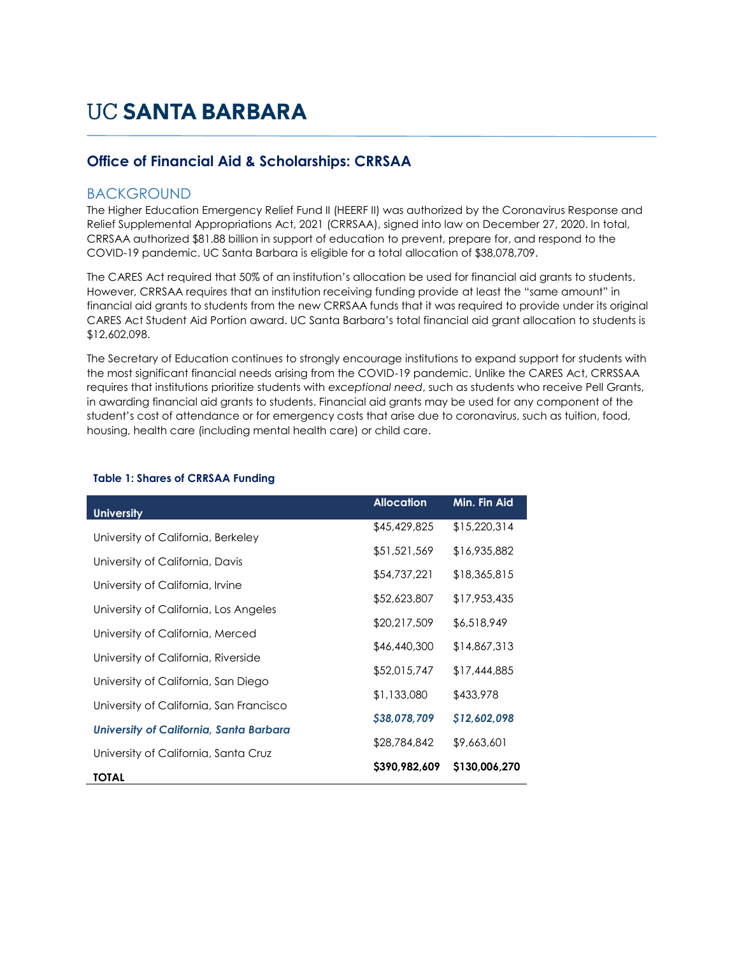## **Office of Financial Aid & Scholarships: CRRSAA**

## BACKGROUND

The Higher Education Emergency Relief Fund II (HEERF II) was authorized by the Coronavirus Response and Relief Supplemental Appropriations Act, 2021 (CRRSAA), signed into law on December 27, 2020. In total, CRRSAA authorized \$81.88 billion in support of education to prevent, prepare for, and respond to the COVID-19 pandemic. UC Santa Barbara is eligible for a total allocation of \$38,078,709.

The CARES Act required that 50% of an institution's allocation be used for financial aid grants to students. However, CRRSAA requires that an institution receiving funding provide at least the "same amount" in financial aid grants to students from the new CRRSAA funds that it was required to provide under its original CARES Act Student Aid Portion award. UC Santa Barbara's total financial aid grant allocation to students is \$12,602,098.

The Secretary of Education continues to strongly encourage institutions to expand support for students with the most significant financial needs arising from the COVID-19 pandemic. Unlike the CARES Act, CRRSSAA requires that institutions prioritize students with *exceptional need*, such as students who receive Pell Grants, in awarding financial aid grants to students. Financial aid grants may be used for any component of the student's cost of attendance or for emergency costs that arise due to coronavirus, such as tuition, food, housing, health care (including mental health care) or child care.

| <b>University</b>                              | <b>Allocation</b> | Min. Fin Aid  |  |
|------------------------------------------------|-------------------|---------------|--|
| University of California, Berkeley             | \$45,429,825      | \$15,220,314  |  |
|                                                | \$51,521,569      | \$16,935,882  |  |
| University of California, Davis                | \$54,737,221      | \$18,365,815  |  |
| University of California, Irvine               | \$52,623,807      | \$17,953,435  |  |
| University of California, Los Angeles          |                   |               |  |
| University of California, Merced               | \$20,217,509      | \$6,518,949   |  |
| University of California, Riverside            | \$46,440,300      | \$14,867,313  |  |
|                                                | \$52,015,747      | \$17,444,885  |  |
| University of California, San Diego            | \$1,133,080       | \$433,978     |  |
| University of California, San Francisco        | \$38,078,709      | \$12,602,098  |  |
| <b>University of California, Santa Barbara</b> |                   |               |  |
| University of California, Santa Cruz           | \$28,784,842      | \$9,663,601   |  |
| <b>TOTAL</b>                                   | \$390,982,609     | \$130,006,270 |  |

## **Table 1: Shares of CRRSAA Funding**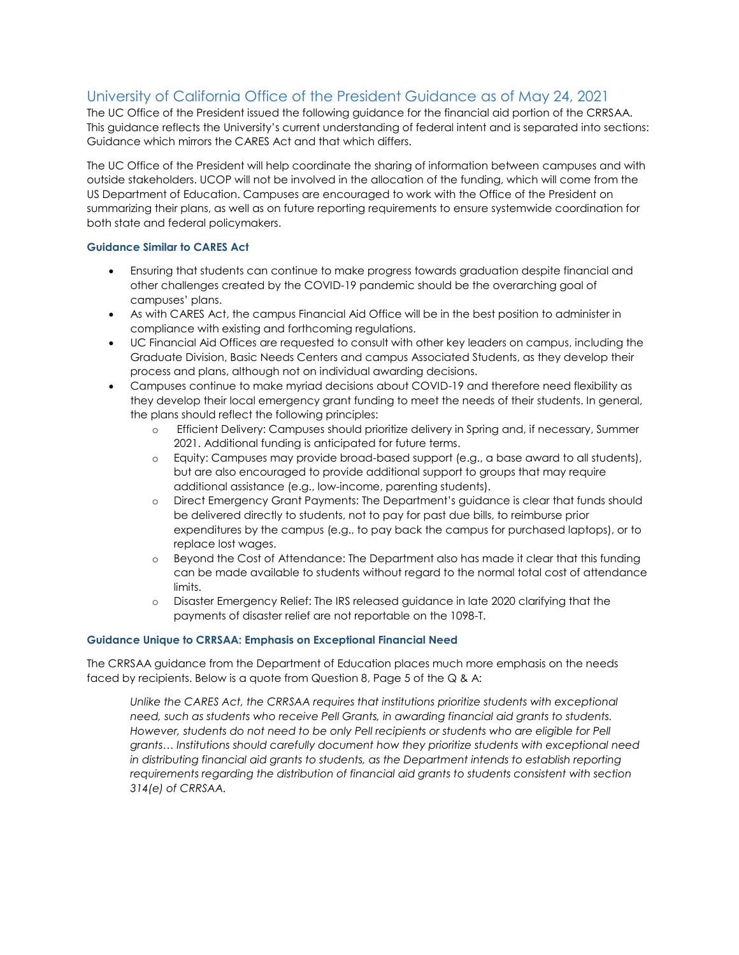## University of California Office of the President Guidance as of May 24, 2021

The UC Office of the President issued the following guidance for the financial aid portion of the CRRSAA. This guidance reflects the University's current understanding of federal intent and is separated into sections: Guidance which mirrors the CARES Act and that which differs.

The UC Office of the President will help coordinate the sharing of information between campuses and with outside stakeholders. UCOP will not be involved in the allocation of the funding, which will come from the US Department of Education. Campuses are encouraged to work with the Office of the President on summarizing their plans, as well as on future reporting requirements to ensure systemwide coordination for both state and federal policymakers.

## **Guidance Similar to CARES Act**

- Ensuring that students can continue to make progress towards graduation despite financial and other challenges created by the COVID-19 pandemic should be the overarching goal of campuses' plans.
- As with CARES Act, the campus Financial Aid Office will be in the best position to administer in compliance with existing and forthcoming regulations.
- UC Financial Aid Offices are requested to consult with other key leaders on campus, including the Graduate Division, Basic Needs Centers and campus Associated Students, as they develop their process and plans, although not on individual awarding decisions.
- Campuses continue to make myriad decisions about COVID-19 and therefore need flexibility as they develop their local emergency grant funding to meet the needs of their students. In general, the plans should reflect the following principles:
	- o Efficient Delivery: Campuses should prioritize delivery in Spring and, if necessary, Summer 2021. Additional funding is anticipated for future terms.
	- o Equity: Campuses may provide broad-based support (e.g., a base award to all students), but are also encouraged to provide additional support to groups that may require additional assistance (e.g., low-income, parenting students).
	- o Direct Emergency Grant Payments: The Department's guidance is clear that funds should be delivered directly to students, not to pay for past due bills, to reimburse prior expenditures by the campus (e.g., to pay back the campus for purchased laptops), or to replace lost wages.
	- o Beyond the Cost of Attendance: The Department also has made it clear that this funding can be made available to students without regard to the normal total cost of attendance limits.
	- o Disaster Emergency Relief: The IRS released guidance in late 2020 clarifying that the payments of disaster relief are not reportable on the 1098-T.

## **Guidance Unique to CRRSAA: Emphasis on Exceptional Financial Need**

The CRRSAA guidance from the Department of Education places much more emphasis on the needs faced by recipients. Below is a quote from Question 8, Page 5 of the Q & A:

Unlike the CARES Act, the CRRSAA requires that institutions prioritize students with exceptional *need, such as students who receive Pell Grants, in awarding financial aid grants to students.*  However, students do not need to be only Pell recipients or students who are eligible for Pell *grants… Institutions should carefully document how they prioritize students with exceptional need in distributing financial aid grants to students, as the Department intends to establish reporting requirements regarding the distribution of financial aid grants to students consistent with section 314(e) of CRRSAA.*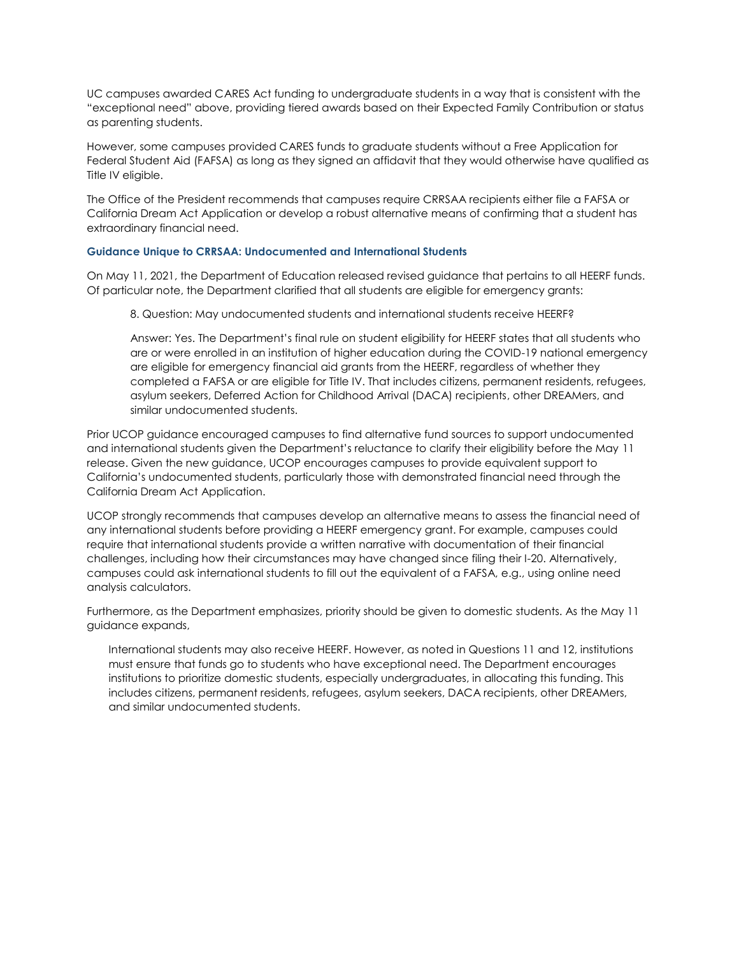UC campuses awarded CARES Act funding to undergraduate students in a way that is consistent with the "exceptional need" above, providing tiered awards based on their Expected Family Contribution or status as parenting students.

However, some campuses provided CARES funds to graduate students without a Free Application for Federal Student Aid (FAFSA) as long as they signed an affidavit that they would otherwise have qualified as Title IV eligible.

The Office of the President recommends that campuses require CRRSAA recipients either file a FAFSA or California Dream Act Application or develop a robust alternative means of confirming that a student has extraordinary financial need.

#### **Guidance Unique to CRRSAA: Undocumented and International Students**

On May 11, 2021, the Department of Education released revised guidance that pertains to all HEERF funds. Of particular note, the Department clarified that all students are eligible for emergency grants:

8. Question: May undocumented students and international students receive HEERF?

Answer: Yes. The Department's final rule on student eligibility for HEERF states that all students who are or were enrolled in an institution of higher education during the COVID-19 national emergency are eligible for emergency financial aid grants from the HEERF, regardless of whether they completed a FAFSA or are eligible for Title IV. That includes citizens, permanent residents, refugees, asylum seekers, Deferred Action for Childhood Arrival (DACA) recipients, other DREAMers, and similar undocumented students.

Prior UCOP guidance encouraged campuses to find alternative fund sources to support undocumented and international students given the Department's reluctance to clarify their eligibility before the May 11 release. Given the new guidance, UCOP encourages campuses to provide equivalent support to California's undocumented students, particularly those with demonstrated financial need through the California Dream Act Application.

UCOP strongly recommends that campuses develop an alternative means to assess the financial need of any international students before providing a HEERF emergency grant. For example, campuses could require that international students provide a written narrative with documentation of their financial challenges, including how their circumstances may have changed since filing their I-20. Alternatively, campuses could ask international students to fill out the equivalent of a FAFSA, e.g., using online need analysis calculators.

Furthermore, as the Department emphasizes, priority should be given to domestic students. As the May 11 guidance expands,

International students may also receive HEERF. However, as noted in Questions 11 and 12, institutions must ensure that funds go to students who have exceptional need. The Department encourages institutions to prioritize domestic students, especially undergraduates, in allocating this funding. This includes citizens, permanent residents, refugees, asylum seekers, DACA recipients, other DREAMers, and similar undocumented students.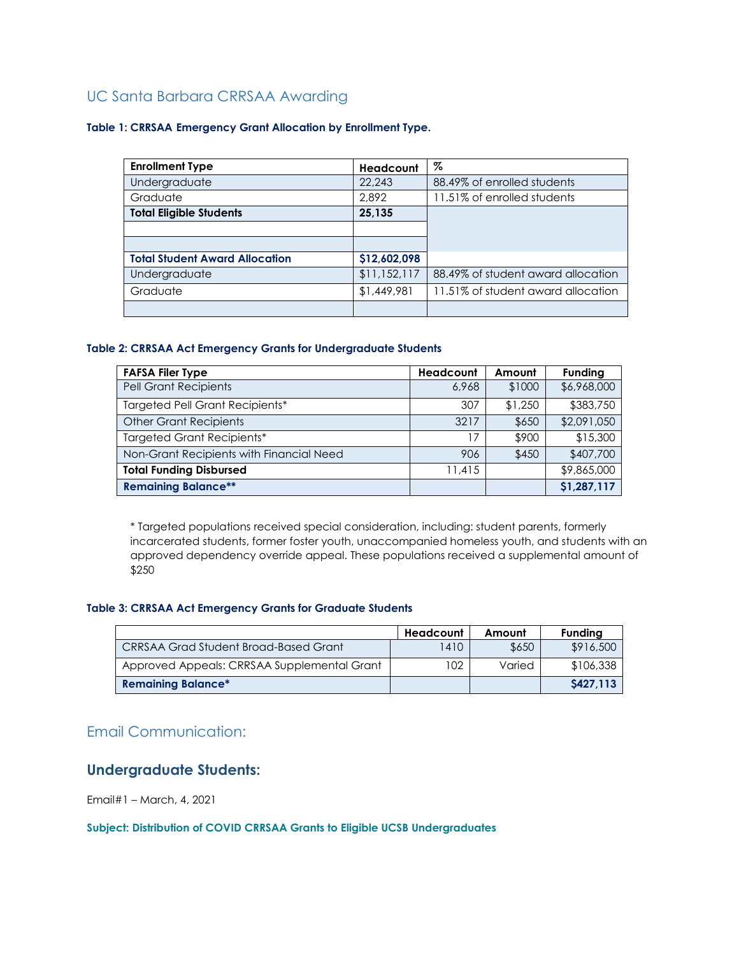## UC Santa Barbara CRRSAA Awarding

#### **Table 1: CRRSAA Emergency Grant Allocation by Enrollment Type.**

| <b>Enrollment Type</b>                | <b>Headcount</b> | %                                  |
|---------------------------------------|------------------|------------------------------------|
| Undergraduate                         | 22,243           | 88.49% of enrolled students        |
| Graduate                              | 2.892            | 11.51% of enrolled students        |
| <b>Total Eligible Students</b>        | 25.135           |                                    |
|                                       |                  |                                    |
|                                       |                  |                                    |
| <b>Total Student Award Allocation</b> | \$12,602,098     |                                    |
| Undergraduate                         | \$11,152,117     | 88.49% of student award allocation |
| Graduate                              | \$1,449,981      | 11.51% of student award allocation |
|                                       |                  |                                    |

## **Table 2: CRRSAA Act Emergency Grants for Undergraduate Students**

| <b>FAFSA Filer Type</b>                  | Headcount | Amount  | <b>Funding</b> |
|------------------------------------------|-----------|---------|----------------|
| <b>Pell Grant Recipients</b>             | 6.968     | \$1000  | \$6,968,000    |
| Targeted Pell Grant Recipients*          | 307       | \$1,250 | \$383,750      |
| <b>Other Grant Recipients</b>            | 3217      | \$650   | \$2,091,050    |
| <b>Targeted Grant Recipients*</b>        | 17        | \$900   | \$15,300       |
| Non-Grant Recipients with Financial Need | 906       | \$450   | \$407,700      |
| <b>Total Funding Disbursed</b>           | 11,415    |         | \$9,865,000    |
| <b>Remaining Balance**</b>               |           |         | \$1,287,117    |

\* Targeted populations received special consideration, including: student parents, formerly incarcerated students, former foster youth, unaccompanied homeless youth, and students with an approved dependency override appeal. These populations received a supplemental amount of \$250

#### **Table 3: CRRSAA Act Emergency Grants for Graduate Students**

|                                              | Headcount | Amount | <b>Funding</b> |
|----------------------------------------------|-----------|--------|----------------|
| <b>CRRSAA Grad Student Broad-Based Grant</b> | 1410      | \$650  | \$916,500      |
| Approved Appeals: CRRSAA Supplemental Grant  | 102       | Varied | \$106,338      |
| <b>Remaining Balance*</b>                    |           |        | S427.113       |

## Email Communication:

## **Undergraduate Students:**

Email#1 – March, 4, 2021

## **Subject: Distribution of COVID CRRSAA Grants to Eligible UCSB Undergraduates**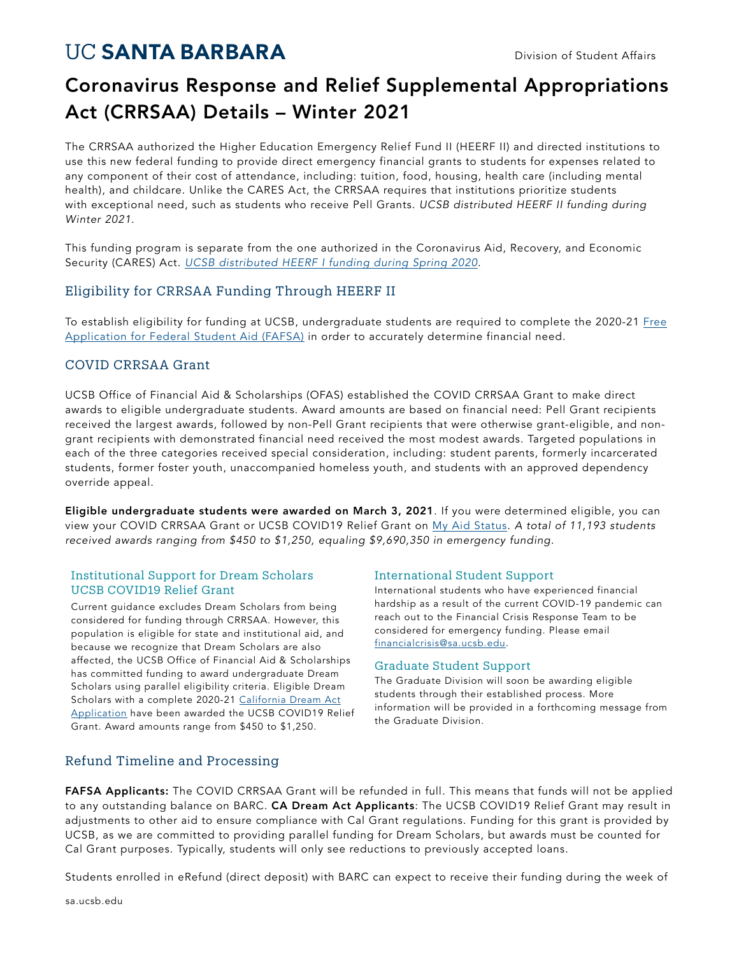## **UC SANTA BARBARA**

## Coronavirus Response and Relief Supplemental Appropriations Act (CRRSAA) Details – Winter 2021

The CRRSAA authorized the Higher Education Emergency Relief Fund II (HEERF II) and directed institutions to use this new federal funding to provide direct emergency financial grants to students for expenses related to any component of their cost of attendance, including: tuition, food, housing, health care (including mental health), and childcare. Unlike the CARES Act, the CRRSAA requires that institutions prioritize students with exceptional need, such as students who receive Pell Grants. *UCSB distributed HEERF II funding during Winter 2021*.

This funding program is separate from the one authorized in the Coronavirus Aid, Recovery, and Economic Security (CARES) Act. *UCSB distributed HEERF I funding during Spring 2020*.

## Eligibility for CRRSAA Funding Through HEERF II

To establish eligibility for funding at UCSB, undergraduate students are required to complete the 2020-21 Free Application for Federal Student Aid (FAFSA) in order to accurately determine financial need.

## COVID CRRSAA Grant

UCSB Office of Financial Aid & Scholarships (OFAS) established the COVID CRRSAA Grant to make direct awards to eligible undergraduate students. Award amounts are based on financial need: Pell Grant recipients received the largest awards, followed by non-Pell Grant recipients that were otherwise grant-eligible, and nongrant recipients with demonstrated financial need received the most modest awards. Targeted populations in each of the three categories received special consideration, including: student parents, formerly incarcerated students, former foster youth, unaccompanied homeless youth, and students with an approved dependency override appeal.

Eligible undergraduate students were awarded on March 3, 2021. If you were determined eligible, you can view your COVID CRRSAA Grant or UCSB COVID19 Relief Grant on My Aid Status. *A total of 11,193 students received awards ranging from \$450 to \$1,250, equaling \$9,690,350 in emergency funding*.

## Institutional Support for Dream Scholars UCSB COVID19 Relief Grant

Current guidance excludes Dream Scholars from being considered for funding through CRRSAA. However, this population is eligible for state and institutional aid, and because we recognize that Dream Scholars are also affected, the UCSB Office of Financial Aid & Scholarships has committed funding to award undergraduate Dream Scholars using parallel eligibility criteria. Eligible Dream Scholars with a complete 2020-21 California Dream Act Application have been awarded the UCSB COVID19 Relief Grant. Award amounts range from \$450 to \$1,250.

## International Student Support

International students who have experienced financial hardship as a result of the current COVID-19 pandemic can reach out to the Financial Crisis Response Team to be considered for emergency funding. Please email financialcrisis@sa.ucsb.edu.

## Graduate Student Support

The Graduate Division will soon be awarding eligible students through their established process. More information will be provided in a forthcoming message from the Graduate Division.

## Refund Timeline and Processing

FAFSA Applicants: The COVID CRRSAA Grant will be refunded in full. This means that funds will not be applied to any outstanding balance on BARC. CA Dream Act Applicants: The UCSB COVID19 Relief Grant may result in adjustments to other aid to ensure compliance with Cal Grant regulations. Funding for this grant is provided by UCSB, as we are committed to providing parallel funding for Dream Scholars, but awards must be counted for Cal Grant purposes. Typically, students will only see reductions to previously accepted loans.

Students enrolled in eRefund (direct deposit) with BARC can expect to receive their funding during the week of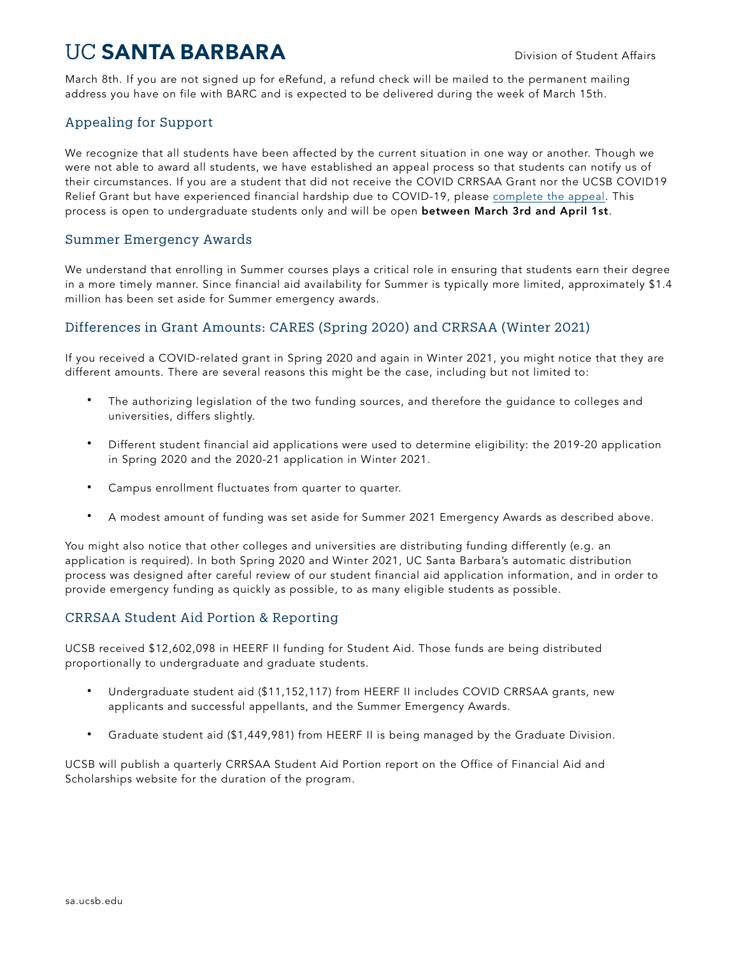## **UC SANTA BARBARA**

March 8th. If you are not signed up for eRefund, a refund check will be mailed to the permanent mailing address you have on file with BARC and is expected to be delivered during the week of March 15th.

## Appealing for Support

We recognize that all students have been affected by the current situation in one way or another. Though we were not able to award all students, we have established an appeal process so that students can notify us of their circumstances. If you are a student that did not receive the COVID CRRSAA Grant nor the UCSB COVID19 Relief Grant but have experienced financial hardship due to COVID-19, please complete the appeal. This process is open to undergraduate students only and will be open between March 3rd and April 1st.

## Summer Emergency Awards

We understand that enrolling in Summer courses plays a critical role in ensuring that students earn their degree in a more timely manner. Since financial aid availability for Summer is typically more limited, approximately \$1.4 million has been set aside for Summer emergency awards.

## Differences in Grant Amounts: CARES (Spring 2020) and CRRSAA (Winter 2021)

If you received a COVID-related grant in Spring 2020 and again in Winter 2021, you might notice that they are different amounts. There are several reasons this might be the case, including but not limited to:

- The authorizing legislation of the two funding sources, and therefore the guidance to colleges and universities, differs slightly.
- Different student financial aid applications were used to determine eligibility: the 2019-20 application in Spring 2020 and the 2020-21 application in Winter 2021.
- Campus enrollment fluctuates from quarter to quarter.
- A modest amount of funding was set aside for Summer 2021 Emergency Awards as described above.

You might also notice that other colleges and universities are distributing funding differently (e.g. an application is required). In both Spring 2020 and Winter 2021, UC Santa Barbara's automatic distribution process was designed after careful review of our student financial aid application information, and in order to provide emergency funding as quickly as possible, to as many eligible students as possible.

## CRRSAA Student Aid Portion & Reporting

UCSB received \$12,602,098 in HEERF II funding for Student Aid. Those funds are being distributed proportionally to undergraduate and graduate students.

- Undergraduate student aid (\$11,152,117) from HEERF II includes COVID CRRSAA grants, new applicants and successful appellants, and the Summer Emergency Awards.
- Graduate student aid (\$1,449,981) from HEERF II is being managed by the Graduate Division.

UCSB will publish a quarterly CRRSAA Student Aid Portion report on the Office of Financial Aid and Scholarships website for the duration of the program.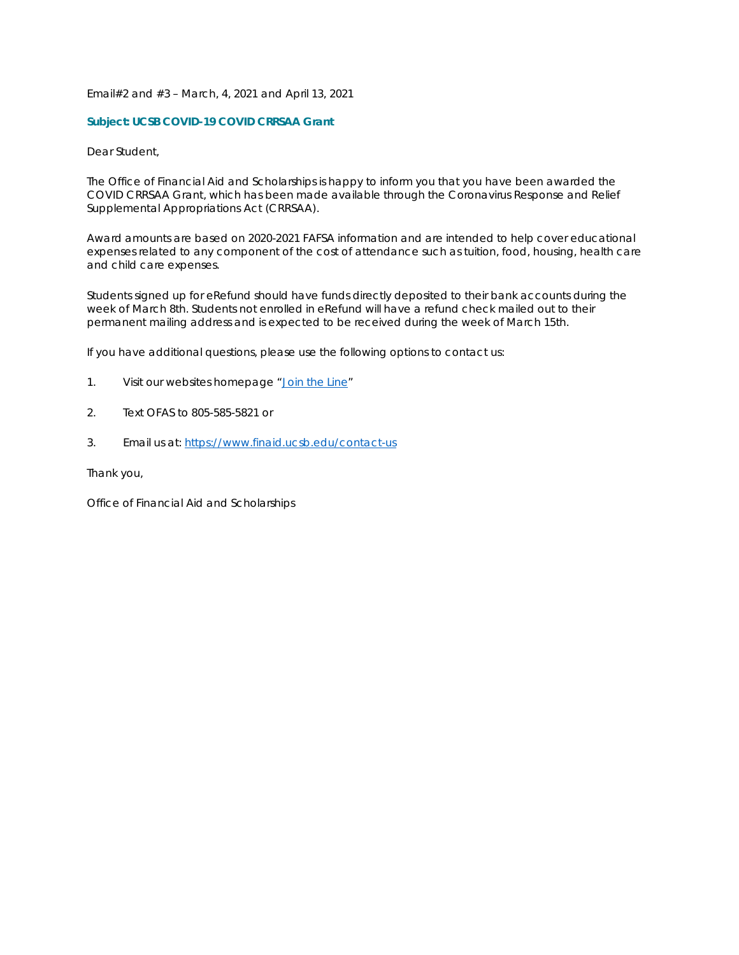#### Email#2 and #3 – March, 4, 2021 and April 13, 2021

#### **Subject: UCSB COVID-19 COVID CRRSAA Grant**

Dear Student,

The Office of Financial Aid and Scholarships is happy to inform you that you have been awarded the COVID CRRSAA Grant, which has been made available through the Coronavirus Response and Relief Supplemental Appropriations Act (CRRSAA).

Award amounts are based on 2020-2021 FAFSA information and are intended to help cover educational expenses related to any component of the cost of attendance such as tuition, food, housing, health care and child care expenses.

Students signed up for eRefund should have funds directly deposited to their bank accounts during the week of March 8th. Students not enrolled in eRefund will have a refund check mailed out to their permanent mailing address and is expected to be received during the week of March 15th.

If you have additional questions, please use the following options to contact us:

- 1. Visit our websites homepage ["Join the Line"](https://kiosk.na1.qless.com/kiosk/app/home/100100000053)
- 2. Text OFAS to 805-585-5821 or
- 3. Email us at: <https://www.finaid.ucsb.edu/contact-us>

Thank you,

Office of Financial Aid and Scholarships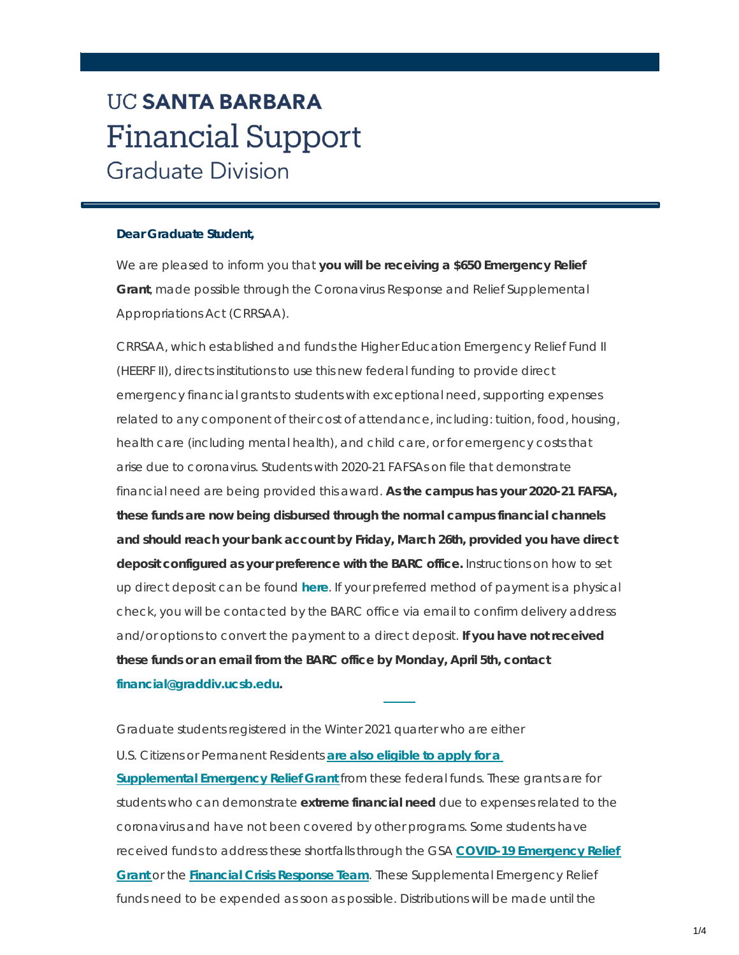## **UC SANTA BARBARA Financial Support Graduate Division**

## **Dear Graduate Student,**

We are pleased to inform you that **you will be receiving a \$650 Emergency Relief Grant**, made possible through the Coronavirus Response and Relief Supplemental Appropriations Act (CRRSAA).

CRRSAA, which established and funds the Higher Education Emergency Relief Fund II (HEERF II), directs institutions to use this new federal funding to provide direct emergency financial grants to students with exceptional need, supporting expenses related to any component of their cost of attendance, including: tuition, food, housing, health care (including mental health), and child care, or for emergency costs that arise due to coronavirus. Students with 2020-21 FAFSAs on file that demonstrate financial need are being provided this award. **As the campus has your 2020-21 FAFSA, these funds are now being disbursed through the normal campus financial channels and should reach your bank account by Friday, March 26th, provided you have direct deposit configured as your preference with the BARC office.** Instructions on how to set up direct deposit can be found **[here](https://t.e2ma.net/click/x28jme/9bcmds/d3fusx)**. If your preferred method of payment is a physical check, you will be contacted by the BARC office via email to confirm delivery address and/or options to convert the payment to a direct deposit. **If you have not received these funds or an email from the BARC office by Monday, April 5th, contact [financial@graddiv.ucsb.edu.](mailto:financial@graddiv.ucsb.edu)**

Graduate students registered in the Winter 2021 quarter who are either U.S. Citizens or [Permanent](https://t.e2ma.net/click/x28jme/9bcmds/tvgusx) Residents **are also eligible to apply for a [Supplemental](https://t.e2ma.net/click/x28jme/9bcmds/tvgusx) Emergency Relief Grant** from these federal funds. These grants are for students who can demonstrate **extreme financial need** due to expenses related to the coronavirus and have not been covered by other programs. Some students have received funds to address these shortfalls through the GSA **COVID-19 [Emergency](https://t.e2ma.net/click/x28jme/9bcmds/9nhusx) Relief [Grant](https://t.e2ma.net/click/x28jme/9bcmds/9nhusx)** or the **Financial Crisis [Response](https://t.e2ma.net/click/x28jme/9bcmds/pgiusx) Team**. These Supplemental Emergency Relief funds need to be expended as soon as possible. Distributions will be made until the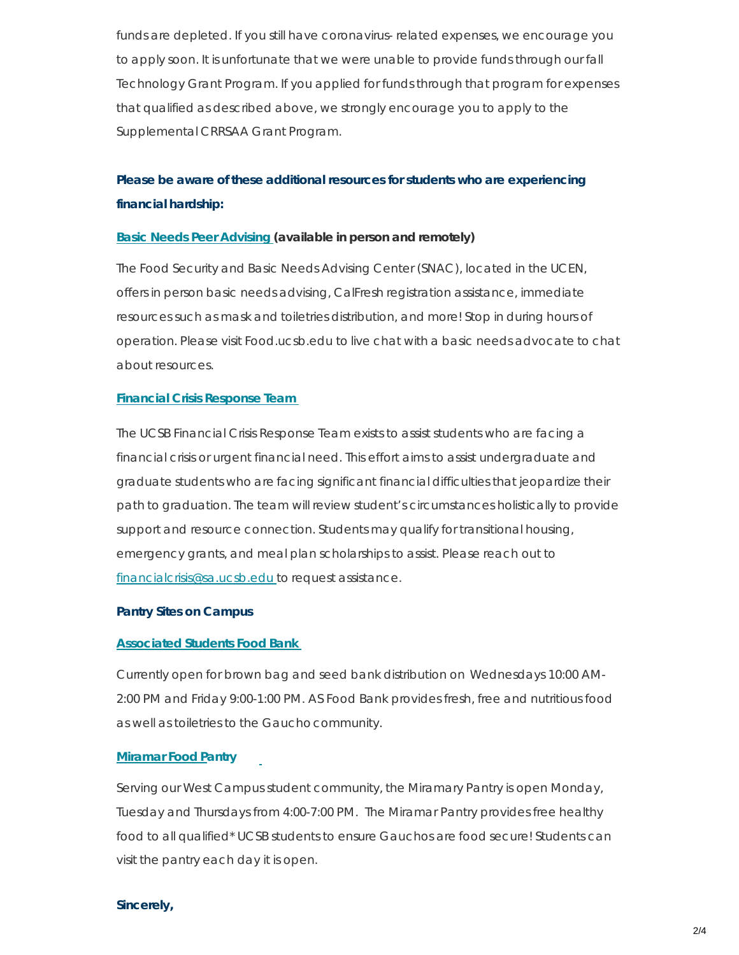funds are depleted. If you still have coronavirus- related expenses, we encourage you to apply soon. It is unfortunate that we were unable to provide funds through our fall Technology Grant Program. If you applied for funds through that program for expenses that qualified as described above, we strongly encourage you to apply to the Supplemental CRRSAA Grant Program.

## **Please be aware of these additional resources for students who are experiencing financial hardship:**

## **Basic Needs Peer [Advising](https://t.e2ma.net/click/x28jme/9bcmds/58iusx) (available in person and remotely)**

The Food Security and Basic Needs Advising Center (SNAC), located in the UCEN, offers in person basic needs advising, CalFresh registration assistance, immediate resources such as mask and toiletries distribution, and more! Stop in during hours of operation. Please visit Food.ucsb.edu to live chat with a basic needs advocate to chat about resources.

## **Financial Crisis [Response](https://t.e2ma.net/click/x28jme/9bcmds/l1jusx) Team**

The UCSB Financial Crisis Response Team exists to assist students who are facing a financial crisis or urgent financial need. This effort aims to assist undergraduate and graduate students who are facing significant financial difficulties that jeopardize their path to graduation. The team will review student's circumstances holistically to provide support and resource connection. Students may qualify for transitional housing, emergency grants, and meal plan scholarships to assist. Please reach out to [financialcrisis@sa.ucsb.edu](https://mail.google.com/mail/?view=cm&fs=1&tf=1&to=Financialcrisis%40sa.ucsb.edu) to request assistance.

## **Pantry Sites on Campus**

## **[Associated](https://t.e2ma.net/click/x28jme/9bcmds/1tkusx) Students Food Bank**

Currently open for brown bag and seed bank distribution on Wednesdays 10:00 AM-2:00 PM and Friday 9:00-1:00 PM. AS Food Bank provides fresh, free and nutritious food as well as toiletries to the Gauchocommunity.

## **[Miramar](https://t.e2ma.net/click/x28jme/9bcmds/hmlusx) Food Pantry**

Serving our West Campus student community, the Miramary Pantry is open Monday, Tuesday and Thursdays from 4:00-7:00 PM. The Miramar Pantry provides free healthy food to all qualified\* UCSB students to ensure Gauchos are food secure! Students can visit the pantry each day it is open.

## **Sincerely,**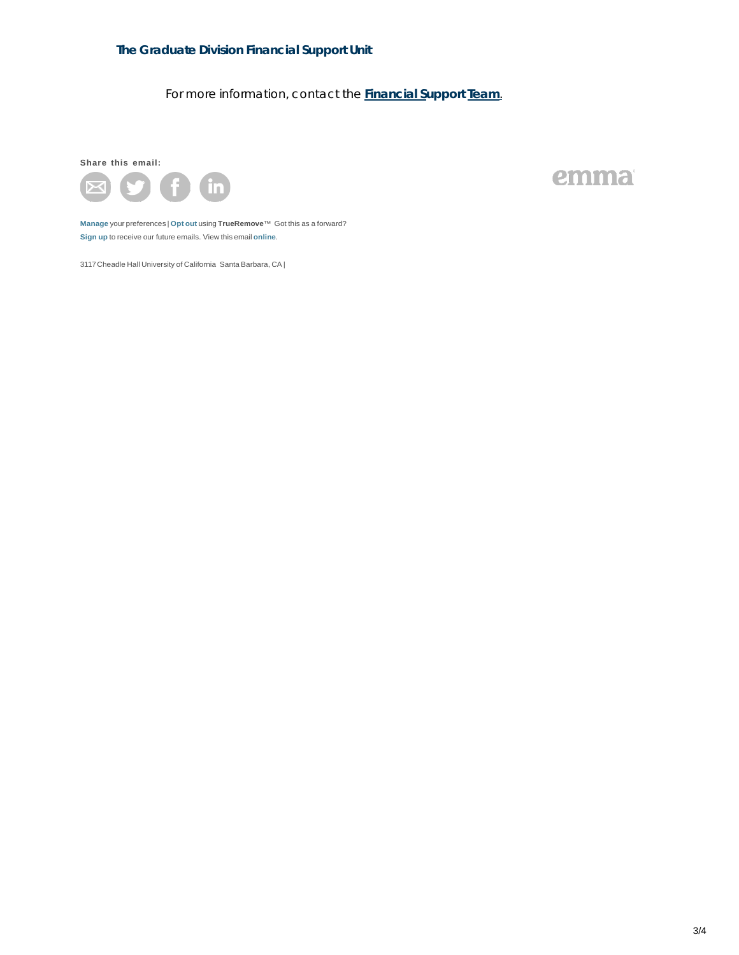## **The Graduate Division Financial Support Unit**

For more information, contact the **[Financial](https://mail.google.com/mail/?view=cm&fs=1&tf=1&to=financial%40graddiv.ucsb.edu&su=Query) Support Team**.

**Share this email:**



emma

**[Manage](https://app.e2ma.net/app2/audience/signup/1356016/1354855/262485095/1093992551/?s=jl2FuD-ueNs_4_A3fqTZ1qY4MIZG6TpMv1A4wXlz0Gk)** your preferences | **[Opt](https://t.e2ma.net/optout/x28jme/9bcmds?s=AC81A0sSUGLS0J6UQArG2PfRK4xrncKwTanUmWkploM&r=aHR0cHM6Ly9hcHAuZTJtYS5uZXQvYXBwMi9hdWRpZW5jZS9vcHRfb3V0LzEzNTYwMTYvMTM1NDg1NS8xMDkzOTkyNTUxLz9zPThoY2gtUEFibW1sNzFvUjlGRUdjN3g0U285YWMtQ2tXSWxSTHM4dU5fc2c%3D) out** using **TrueRemove**™ Got this as a forward? **[Sign](https://app.e2ma.net/app2/audience/signup/1356016/1354855.262485095/) up** to receive our future emails. View this email **[online](https://t.e2ma.net/message/x28jme/9bcmds)**.

3117Cheadle Hall University of California Santa Barbara, CA |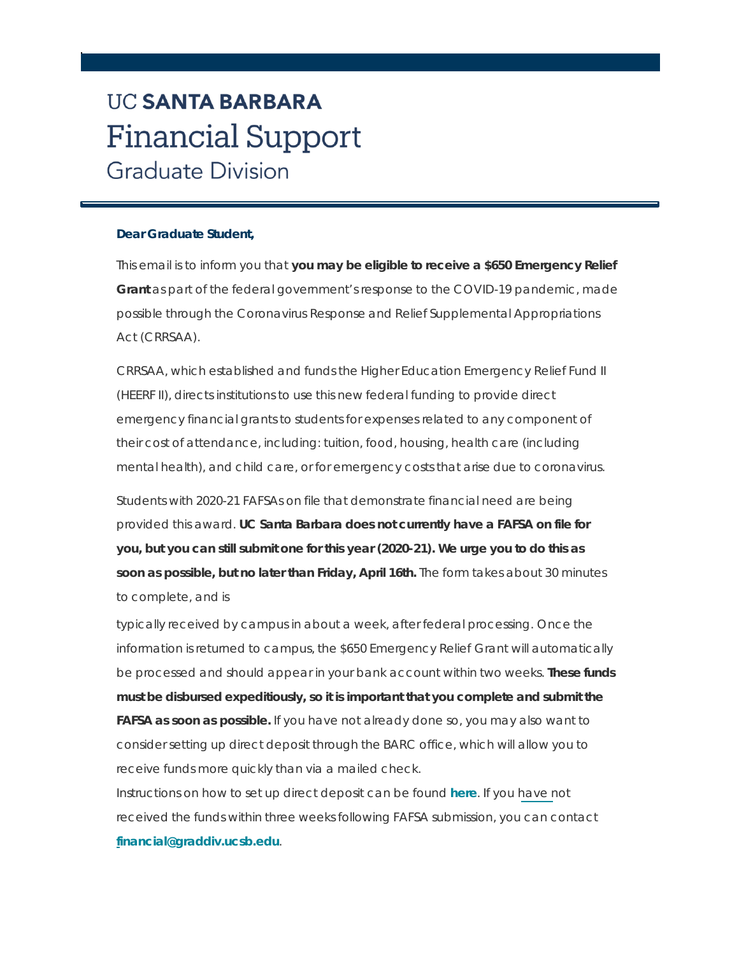# **UC SANTA BARBARA Financial Support Graduate Division**

## **Dear Graduate Student,**

This email is to inform you that **you may be eligible to receive a \$650 Emergency Relief Grant** as part of the federal government's response to the COVID-19 pandemic, made possible through the Coronavirus Response and Relief Supplemental Appropriations Act (CRRSAA).

CRRSAA, which established and funds the Higher Education Emergency Relief Fund II (HEERF II), directs institutions to use this new federal funding to provide direct emergency financial grants to students for expenses related to any component of their cost of attendance, including: tuition, food, housing, health care (including mental health), and child care, or for emergency costs that arise due to coronavirus.

Students with 2020-21 FAFSAs on file that demonstrate financial need are being provided this award. **UC Santa Barbara does not currently have a FAFSA on file for you, but you can still submit one for this year (2020-21). We urge you to do this as soon as possible, but no later than Friday, April 16th.** The form takes about 30 minutes to complete, and is

typically received by campus in about a week, after federal processing. Once the information is returned to campus, the \$650 Emergency Relief Grant will automatically be processed and should appear in your bank account within two weeks. **These funds must be disbursed expeditiously, so it is important that you complete and submit the FAFSA as soon as possible.** If you have not already done so, you may also want to consider setting up direct deposit through the BARC office, which will allow you to receive funds more quickly than via a mailed check.

Instructions on how to set up direct deposit can be found **[here](https://t.e2ma.net/click/dv9jme/9bcmds/xitusx)**. If you have not received the funds within three weeks following FAFSA submission, you can contact **[financial@graddiv.ucsb.edu](https://mail.google.com/mail/?view=cm&fs=1&tf=1&to=financial%40graddiv.ucsb.edu)**.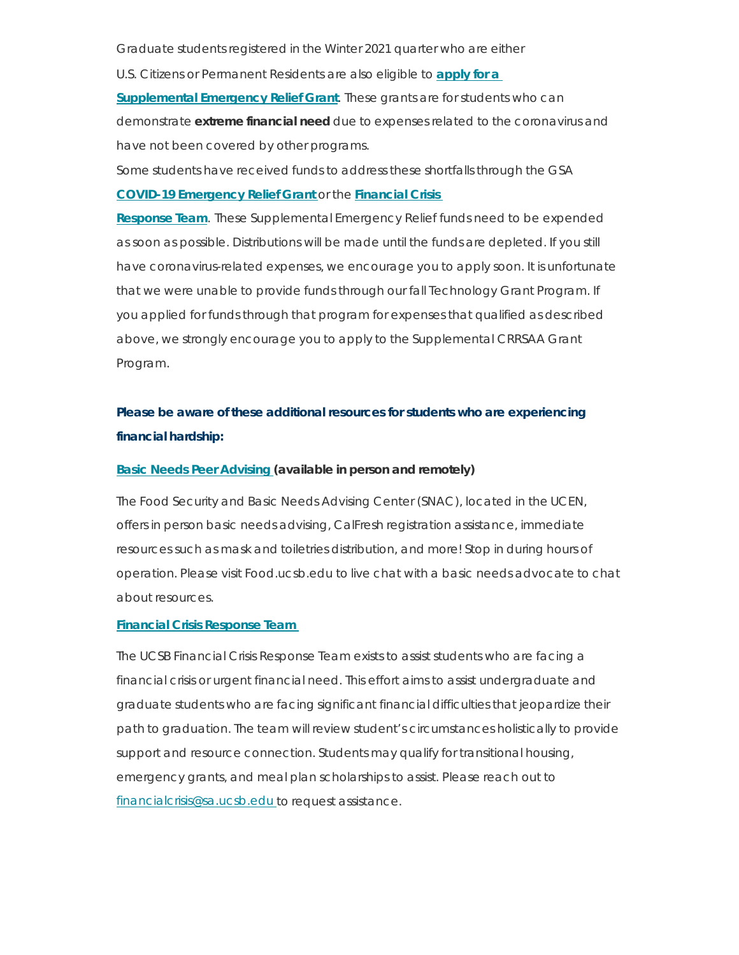Graduate students registered in the Winter 2021 quarter who are either

U.S. Citizens or [Permanent](https://t.e2ma.net/click/dv9jme/9bcmds/dbuusx) Residents are also eligible to **apply for a**

**[Supplemental](https://t.e2ma.net/click/dv9jme/9bcmds/dbuusx) Emergency Relief Grant**. These grants are for students who can demonstrate **extreme financial need** due to expenses related to the coronavirus and have not been covered by other programs.

Some students have received funds to address these shortfalls through the [GSA](https://t.e2ma.net/click/dv9jme/9bcmds/9vvusx)

## **COVID-19 [Emergency](https://t.e2ma.net/click/dv9jme/9bcmds/9vvusx) Relief Grant** or the **Financial Crisis**

**Response Team**. These [Supplemental](https://t.e2ma.net/click/dv9jme/9bcmds/9vvusx) Emergency Relief funds need to be expended as soon as possible. Distributions will be made until the funds are depleted. If you still have coronavirus-related expenses, we encourage you to apply soon. It is unfortunate that we were unable to provide funds through our fall Technology Grant Program. If you applied for funds through that program for expenses that qualified as described above, we strongly encourage you to apply to the Supplemental CRRSAA Grant Program.

## **Please be aware of these additional resources for students who are experiencing financial hardship:**

## **Basic Needs Peer [Advising](https://t.e2ma.net/click/dv9jme/9bcmds/powusx) (available in person and remotely)**

The Food Security and Basic Needs Advising Center (SNAC), located in the UCEN, offers in person basic needs advising, CalFresh registration assistance, immediate resources such as mask and toiletries distribution, and more! Stop in during hours of operation. Please visit Food.ucsb.edu to live chat with a basic needs advocate to chat about resources.

## **Financial Crisis [Response](https://t.e2ma.net/click/dv9jme/9bcmds/5gxusx) Team**

The UCSB Financial Crisis Response Team exists to assist students who are facing a financial crisis or urgent financial need. This effort aims to assist undergraduate and graduate students who are facing significant financial difficulties that jeopardize their path to graduation. The team will review student's circumstances holistically to provide support and resource connection. Students may qualify for transitional housing, emergency grants, and meal plan scholarships to assist. Please reach out to [financialcrisis@sa.ucsb.edu](https://mail.google.com/mail/?view=cm&fs=1&tf=1&to=Financialcrisis%40sa.ucsb.edu) to request assistance.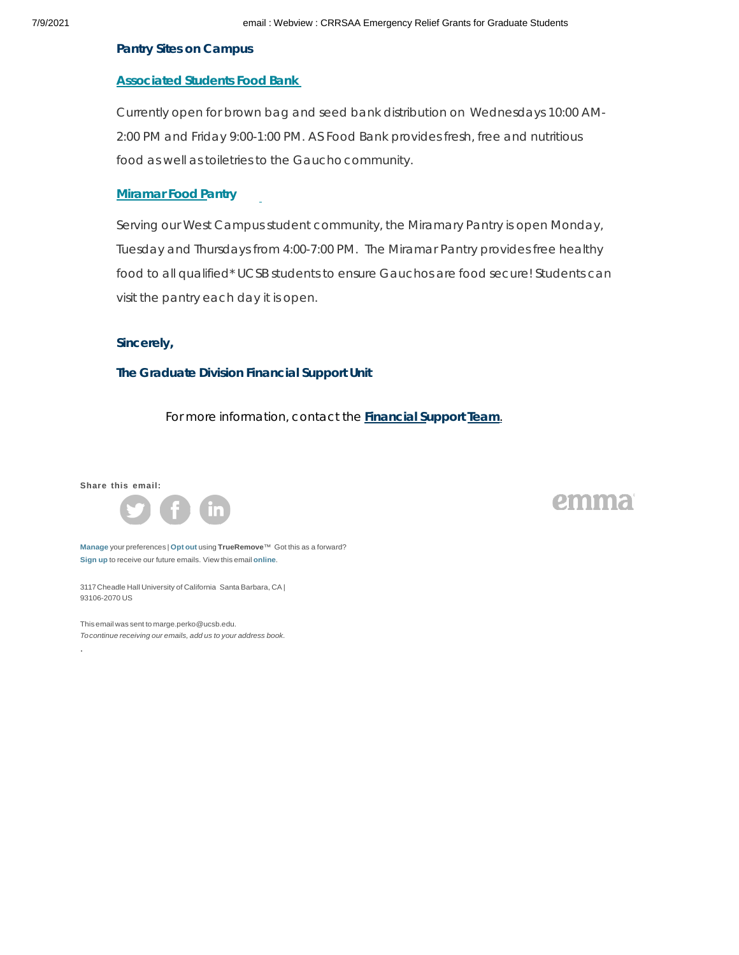#### **Pantry Sites on Campus**

#### **[Associated](https://t.e2ma.net/click/dv9jme/9bcmds/l9xusx) Students Food Bank**

Currently open for brown bag and seed bank distribution on Wednesdays 10:00 AM-2:00 PM and Friday 9:00-1:00 PM. AS Food Bank provides fresh, free and nutritious food as well as toiletries to the Gaucho community.

## **[Miramar](https://t.e2ma.net/click/dv9jme/9bcmds/11yusx) Food Pantry**

Serving our West Campus student community, the Miramary Pantry is open Monday, Tuesday and Thursdays from 4:00-7:00 PM. The Miramar Pantry provides free healthy food to all qualified\* UCSB students to ensure Gauchos are food secure! Students can visit the pantry each day it is open.

#### **Sincerely,**

#### **The Graduate Division Financial Support Unit**

For more information, contact the **[Financial](https://mail.google.com/mail/?view=cm&fs=1&tf=1&to=financial%40graddiv.ucsb.edu&su=Query) Support Team**.

**Share this email:**



emma

**[Manage](https://app.e2ma.net/app2/audience/signup/1356016/1354855/262486119/1093992551/?s=NvBlFHcsvmy5AibaL1Gn6piLPNmLWq18uqr-IbrTWSk)** your preferences | **[Opt](https://t.e2ma.net/optout/dv9jme/9bcmds?s=_F647kH0sKfIKGe43oK0sx_13ya_ssofEvZyBatf_gA&r=aHR0cHM6Ly9hcHAuZTJtYS5uZXQvYXBwMi9hdWRpZW5jZS9vcHRfb3V0LzEzNTYwMTYvMTM1NDg1NS8xMDkzOTkyNTUxLz9zPThoY2gtUEFibW1sNzFvUjlGRUdjN3g0U285YWMtQ2tXSWxSTHM4dU5fc2c%3D) out** using **TrueRemove**™ Got this as a forward? **[Sign](https://app.e2ma.net/app2/audience/signup/1356016/1354855.262486119/) up** to receive our future emails. View this email **[online](https://t.e2ma.net/message/dv9jme/9bcmds)**.

3117Cheadle Hall University of California Santa Barbara, CA | 93106-2070 US

This email was sent to [marge.perko@ucsb.edu.](https://t.e2ma.net/message/dv9jme/marge.perko%40ucsb.edu) *[Tocontinue](https://t.e2ma.net/message/dv9jme/marge.perko%40ucsb.edu) receiving our emails, add us to your address book.*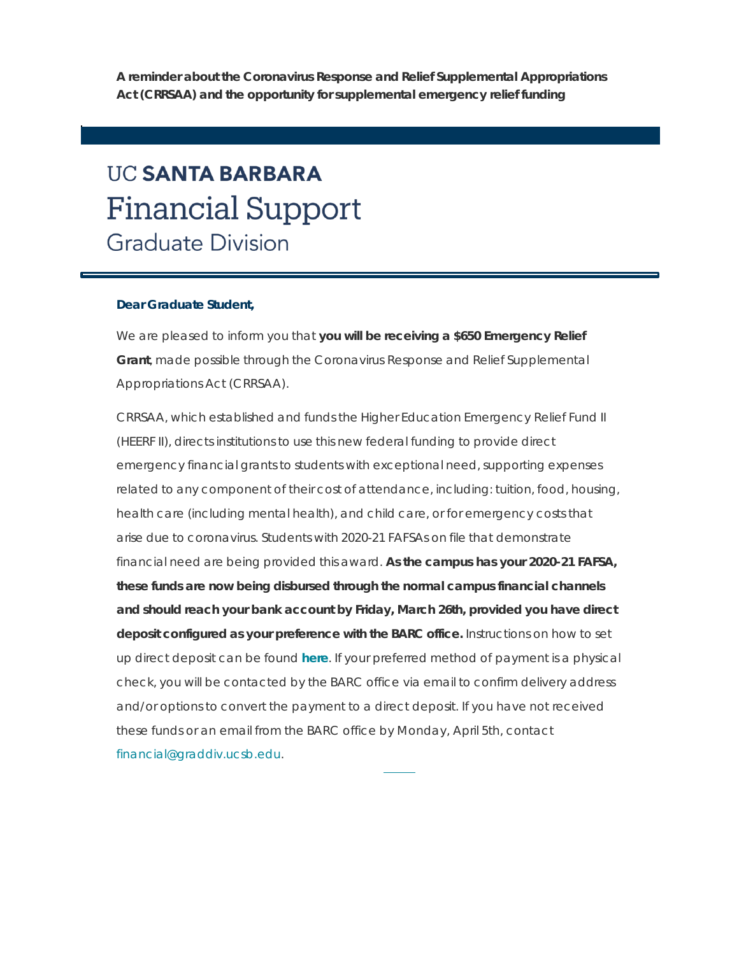**A reminder about the Coronavirus Response and Relief Supplemental Appropriations Act (CRRSAA) and the opportunity for supplemental emergency relief funding**

# **UC SANTA BARBARA Financial Support Graduate Division**

#### **Dear Graduate Student,**

We are pleased to inform you that **you will be receiving a \$650 Emergency Relief Grant**, made possible through the Coronavirus Response and Relief Supplemental Appropriations Act (CRRSAA).

CRRSAA, which established and funds the Higher Education Emergency Relief Fund II (HEERF II), directs institutions to use this new federal funding to provide direct emergency financial grants to students with exceptional need, supporting expenses related to any component of their cost of attendance, including: tuition, food, housing, health care (including mental health), and child care, or for emergency costs that arise due to coronavirus. Students with 2020-21 FAFSAs on file that demonstrate financial need are being provided this award. **As the campus has your 2020-21 FAFSA, these funds are now being disbursed through the normal campus financial channels and should reach your bank account by Friday, March 26th, provided you have direct deposit configured as your preference with the BARC office.** Instructions on how to set up direct deposit can be found **[here](https://t.e2ma.net/click/h6stoe/9bcmds/5cm3wx)**. If your preferred method of payment is a physical check, you will be contacted by the BARC office via email to confirm delivery address and/or options to convert the payment to a direct deposit. If you have not received these funds or an email from the BARC office by Monday, April 5th, contact [financial@graddiv.ucsb.edu.](mailto:financial@graddiv.ucsb.edu)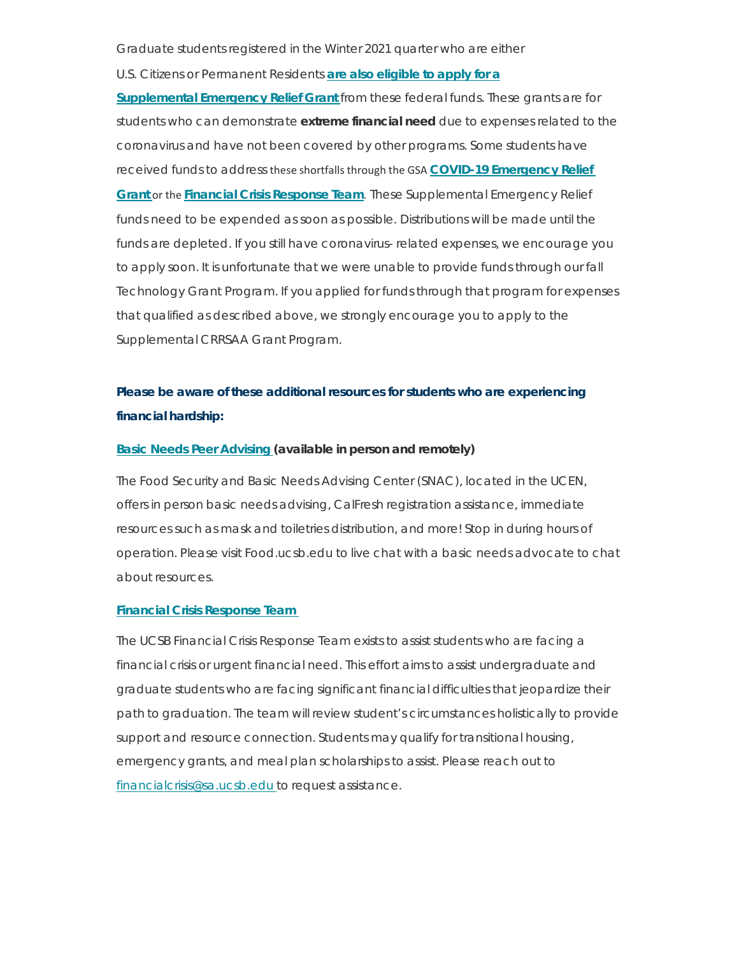Graduate students registered in the Winter 2021 quarter who are either

U.S. Citizens or [Permanent](https://t.e2ma.net/click/h6stoe/9bcmds/l5m3wx) Residents **are also eligible to apply for a**

**[Supplemental](https://t.e2ma.net/click/h6stoe/9bcmds/l5m3wx) Emergency Relief Grant** from these federal funds. These grants are for students who can demonstrate **extreme financial need** due to expenses related to the coronavirus and have not been covered by other programs. Some students have received funds to address these shortfallsthrough the GSA **COVID-19 [Emergency](https://t.e2ma.net/click/h6stoe/9bcmds/1xn3wx) Relief [Grant](https://t.e2ma.net/click/h6stoe/9bcmds/1xn3wx)** or the **Financial Crisis [Response](https://t.e2ma.net/click/h6stoe/9bcmds/hqo3wx) Team**. These Supplemental Emergency Relief funds need to be expended as soon as possible. Distributions will be made until the funds are depleted. If you still have coronavirus- related expenses, we encourage you to apply soon. It is unfortunate that we were unable to provide funds through our fall Technology Grant Program. If you applied for funds through that program for expenses that qualified as described above, we strongly encourage you to apply to the Supplemental CRRSAA Grant Program.

## **Please be aware of these additional resources for students who are experiencing financial hardship:**

## **Basic Needs Peer [Advising](https://t.e2ma.net/click/h6stoe/9bcmds/xip3wx) (available in person and remotely)**

The Food Security and Basic Needs Advising Center (SNAC), located in the UCEN, offers in person basic needs advising, CalFresh registration assistance, immediate resources such as mask and toiletries distribution, and more! Stop in during hours of operation. Please visit Food.ucsb.edu to live chat with a basic needs advocate to chat about resources.

## **Financial Crisis [Response](https://t.e2ma.net/click/h6stoe/9bcmds/dbq3wx) Team**

The UCSB Financial Crisis Response Team exists to assist students who are facing a financial crisis or urgent financial need. This effort aims to assist undergraduate and graduate students who are facing significant financial difficulties that jeopardize their path to graduation. The team will review student's circumstances holistically to provide support and resource connection. Students may qualify for transitional housing, emergency grants, and meal plan scholarships to assist. Please reach out to [financialcrisis@sa.ucsb.edu](https://mail.google.com/mail/?view=cm&fs=1&tf=1&to=Financialcrisis%40sa.ucsb.edu) to request assistance.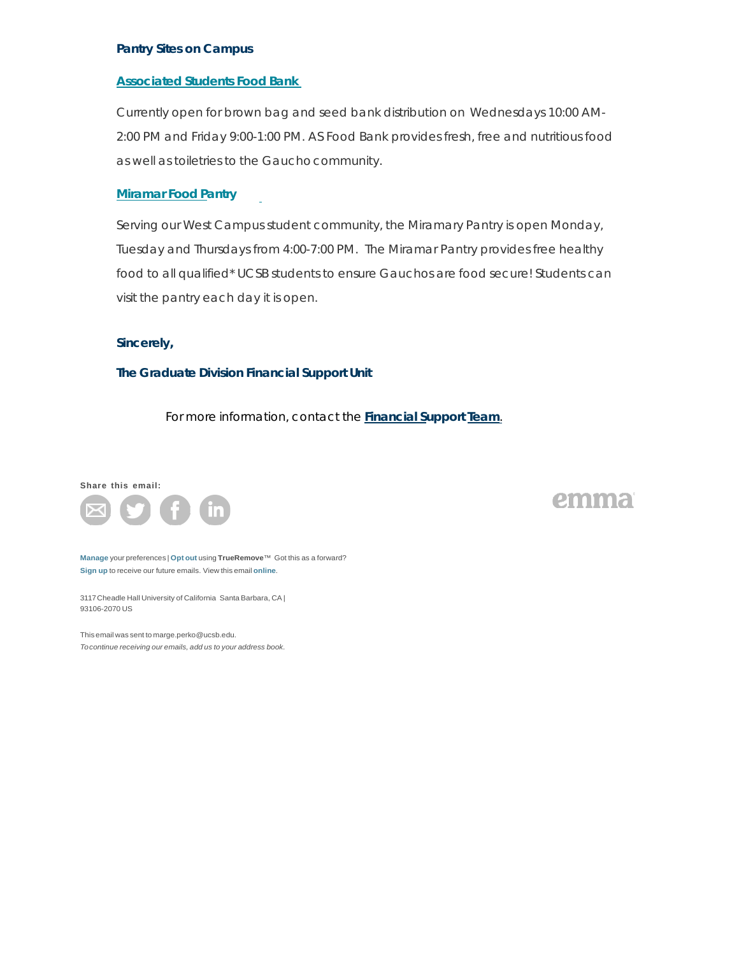#### **Pantry Sites on Campus**

## **[Associated](https://t.e2ma.net/click/h6stoe/9bcmds/t3q3wx) Students Food Bank**

Currently open for brown bag and seed bank distribution on Wednesdays 10:00 AM-2:00 PM and Friday 9:00-1:00 PM. AS Food Bank provides fresh, free and nutritious food as well as toiletries to the Gauchocommunity.

## **[Miramar](https://t.e2ma.net/click/h6stoe/9bcmds/9vr3wx) Food Pantry**

Serving our West Campus student community, the Miramary Pantry is open Monday, Tuesday and Thursdays from 4:00-7:00 PM. The Miramar Pantry provides free healthy food to all qualified\* UCSB students to ensure Gauchos are food secure! Students can visit the pantry each day it is open.

#### **Sincerely,**

#### **The Graduate Division Financial Support Unit**

For more information, contact the **[Financial](https://mail.google.com/mail/?view=cm&fs=1&tf=1&to=financial%40graddiv.ucsb.edu&su=Query) Support Team**.

#### **Share this email:**



emma

**[Manage](https://app.e2ma.net/app2/audience/signup/1356016/1354855/266290279/1093992551/?s=-yokLyrTeoMefIrqNTx0fb4rRXN8FE4JkWAU4G9dTqY)** your preferences | **[Opt](https://t.e2ma.net/optout/h6stoe/9bcmds?s=eWC7F4KNqBCaGTKzaMe6ZGgk7ghquSHEznYQQcqM42o&r=aHR0cHM6Ly9hcHAuZTJtYS5uZXQvYXBwMi9hdWRpZW5jZS9vcHRfb3V0LzEzNTYwMTYvMTM1NDg1NS8xMDkzOTkyNTUxLz9zPThoY2gtUEFibW1sNzFvUjlGRUdjN3g0U285YWMtQ2tXSWxSTHM4dU5fc2c%3D) out** using **TrueRemove**™ Got this as a forward? **[Sign](https://app.e2ma.net/app2/audience/signup/1356016/1354855.266290279/) up** to receive our future emails. View this email **[online](https://t.e2ma.net/message/h6stoe/9bcmds)**.

3117Cheadle Hall University of California Santa Barbara, CA | 93106-2070 US

This email was sent to [marge.perko@ucsb.edu.](https://t.e2ma.net/message/h6stoe/marge.perko%40ucsb.edu) *[Tocontinue](https://t.e2ma.net/message/h6stoe/marge.perko%40ucsb.edu) receiving our emails, add us to your address book.*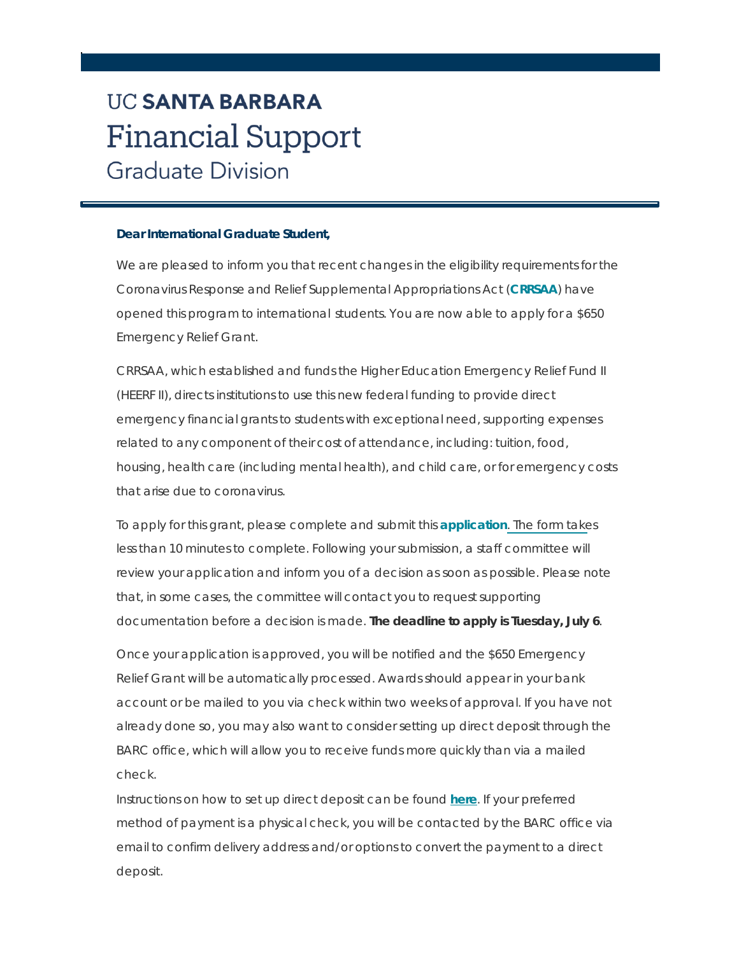# **UC SANTA BARBARA Financial Support Graduate Division**

## **Dear International Graduate Student,**

We are pleased to inform you that recent changes in the eligibility requirements for the Coronavirus Response and Relief Supplemental Appropriations Act (**[CRRSAA](https://t.e2ma.net/click/xy5q2e/tnunq3/dbqbfy)**) have opened this program to international students. You are now able to apply for a \$650 Emergency Relief Grant.

CRRSAA, which established and funds the Higher Education Emergency Relief Fund II (HEERF II), directs institutions to use this new federal funding to provide direct emergency financial grants to students with exceptional need, supporting expenses related to any component of their cost of attendance, including: tuition, food, housing, health care (including mental health), and child care, or for emergency costs that arise due to coronavirus.

To apply for this grant, please complete and submit this **[application](https://t.e2ma.net/click/xy5q2e/tnunq3/t3qbfy)**. The form takes less than 10 minutes to complete. Following your submission, a staff committee will review your application and inform you of a decision as soon as possible. Please note that, in some cases, the committee will contact you to request supporting documentation before a decision is made. *The deadline to apply is Tuesday, July 6*.

Once your application is approved, you will be notified and the \$650 Emergency Relief Grant will be automatically processed. Awards should appear in your bank account or be mailed to you via check within two weeks of approval. If you have not already done so, you may also want to consider setting up direct deposit through the BARC office, which will allow you to receive funds more quickly than via a mailed check.

Instructions on how to set up direct deposit can be found **[here](https://t.e2ma.net/click/xy5q2e/tnunq3/9vrbfy)**. If your preferred method of payment is a physical check, you will be contacted by the BARC office via email to confirm delivery address and/or options to convert the payment to a direct deposit.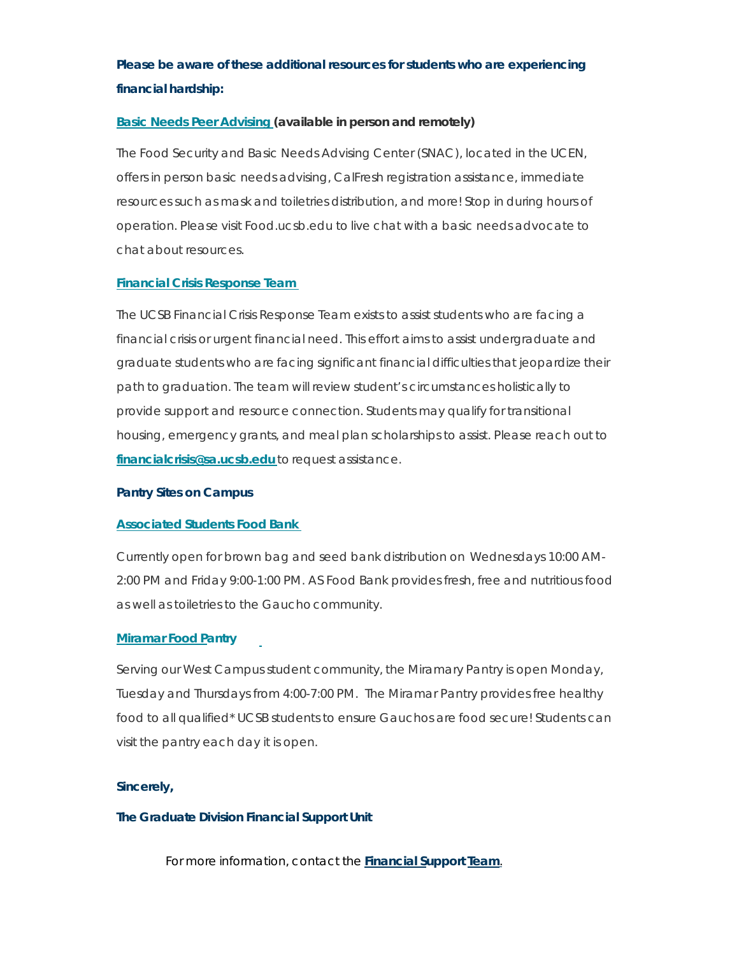## **Please be aware of these additional resources for students who are experiencing financial hardship:**

## **Basic Needs Peer [Advising](https://t.e2ma.net/click/xy5q2e/tnunq3/posbfy) (available in person and remotely)**

The Food Security and Basic Needs Advising Center (SNAC), located in the UCEN, offers in person basic needs advising, CalFresh registration assistance, immediate resources such as mask and toiletries distribution, and more! Stop in during hours of operation. Please visit Food.ucsb.edu to live chat with a basic needs advocate to chat about resources.

## **Financial Crisis [Response](https://t.e2ma.net/click/xy5q2e/tnunq3/5gtbfy) Team**

The UCSB Financial Crisis Response Team exists to assist students who are facing a financial crisis or urgent financial need. This effort aims to assist undergraduate and graduate students who are facing significant financial difficulties that jeopardize their path to graduation. The team will review student's circumstances holistically to provide support and resource connection. Students may qualify for transitional housing, emergency grants, and meal plan scholarships to assist. Please reach out to **[financialcrisis@sa.ucsb.edu](https://mail.google.com/mail/?view=cm&fs=1&tf=1&to=Financialcrisis%40sa.ucsb.edu)** to request assistance.

## **Pantry Sites on Campus**

## **[Associated](https://t.e2ma.net/click/xy5q2e/tnunq3/l9tbfy) Students Food Bank**

Currently open for brown bag and seed bank distribution on Wednesdays 10:00 AM-2:00 PM and Friday 9:00-1:00 PM. AS Food Bank provides fresh, free and nutritious food as well as toiletries to the Gauchocommunity.

## **[Miramar](https://t.e2ma.net/click/xy5q2e/tnunq3/11ubfy) Food Pantry**

Serving our West Campus student community, the Miramary Pantry is open Monday, Tuesday and Thursdays from 4:00-7:00 PM. The Miramar Pantry provides free healthy food to all qualified\* UCSB students to ensure Gauchos are food secure! Students can visit the pantry each day it is open.

## **Sincerely,**

## **The Graduate Division Financial Support Unit**

For more information, contact the **[Financial](https://mail.google.com/mail/?view=cm&fs=1&tf=1&to=financial%40graddiv.ucsb.edu&su=Query) Support Team**.